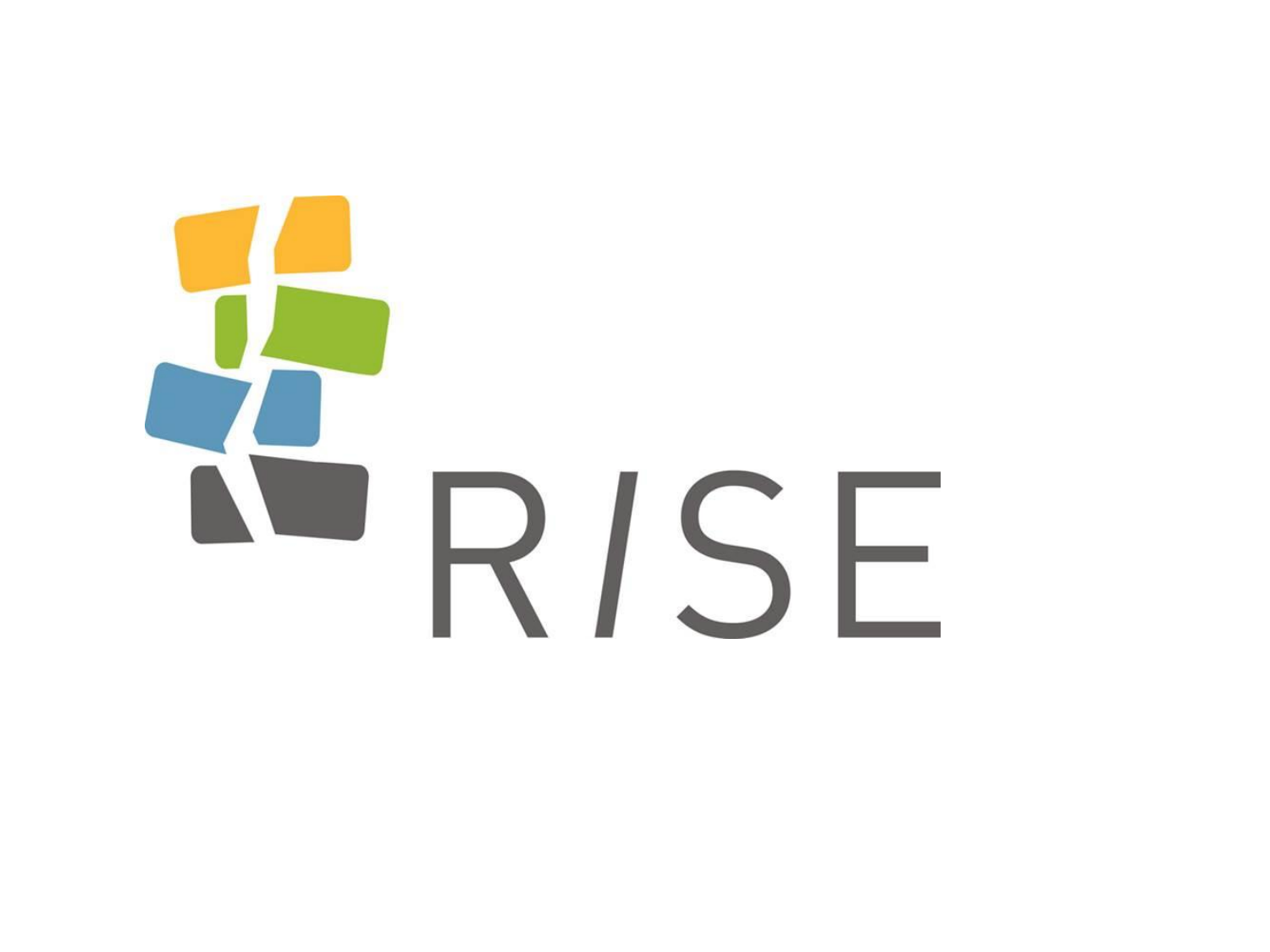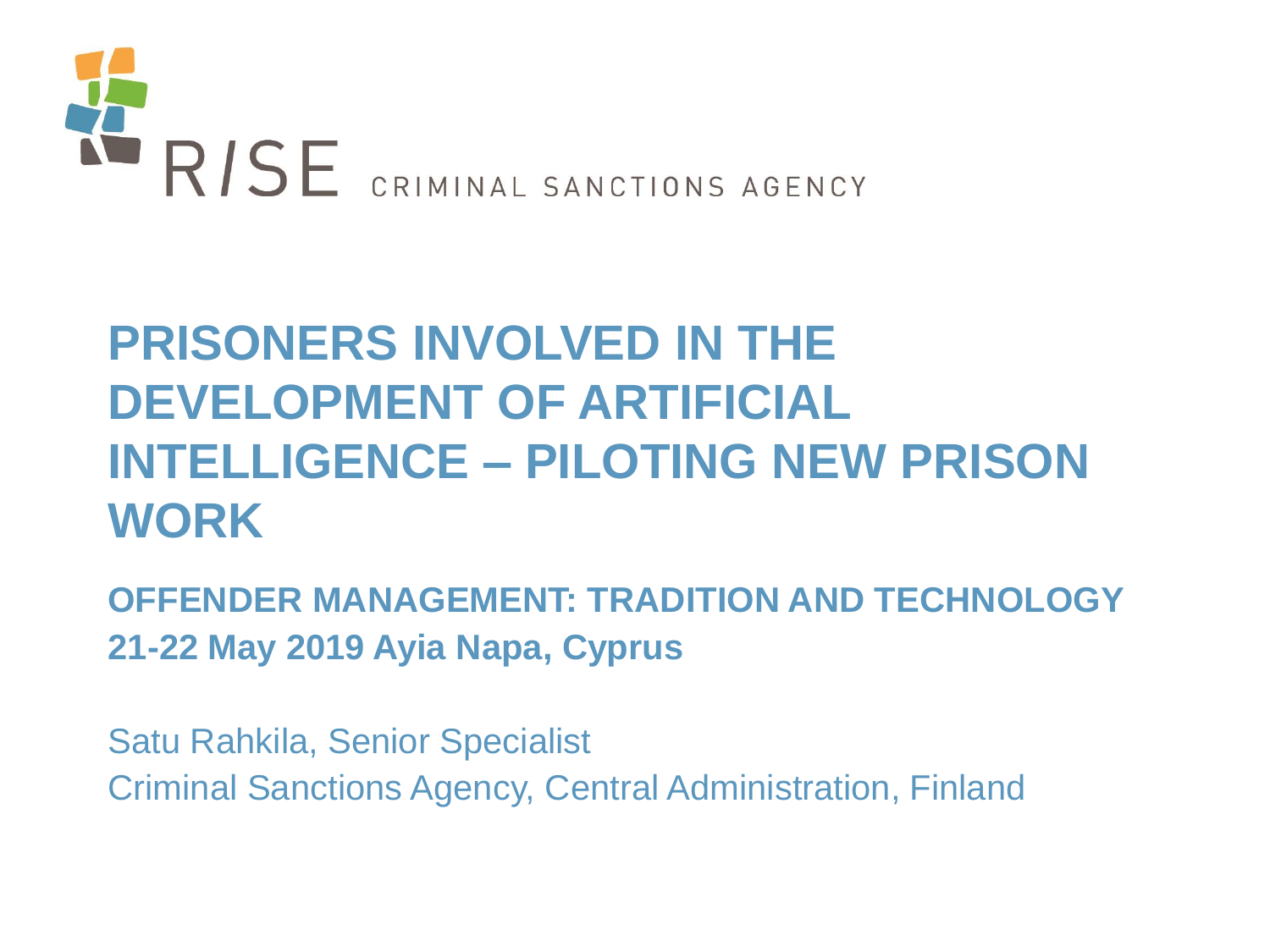

# **PRISONERS INVOLVED IN THE DEVELOPMENT OF ARTIFICIAL INTELLIGENCE – PILOTING NEW PRISON WORK**

**OFFENDER MANAGEMENT: TRADITION AND TECHNOLOGY 21-22 May 2019 Ayia Napa, Cyprus**

Satu Rahkila, Senior Specialist Criminal Sanctions Agency, Central Administration, Finland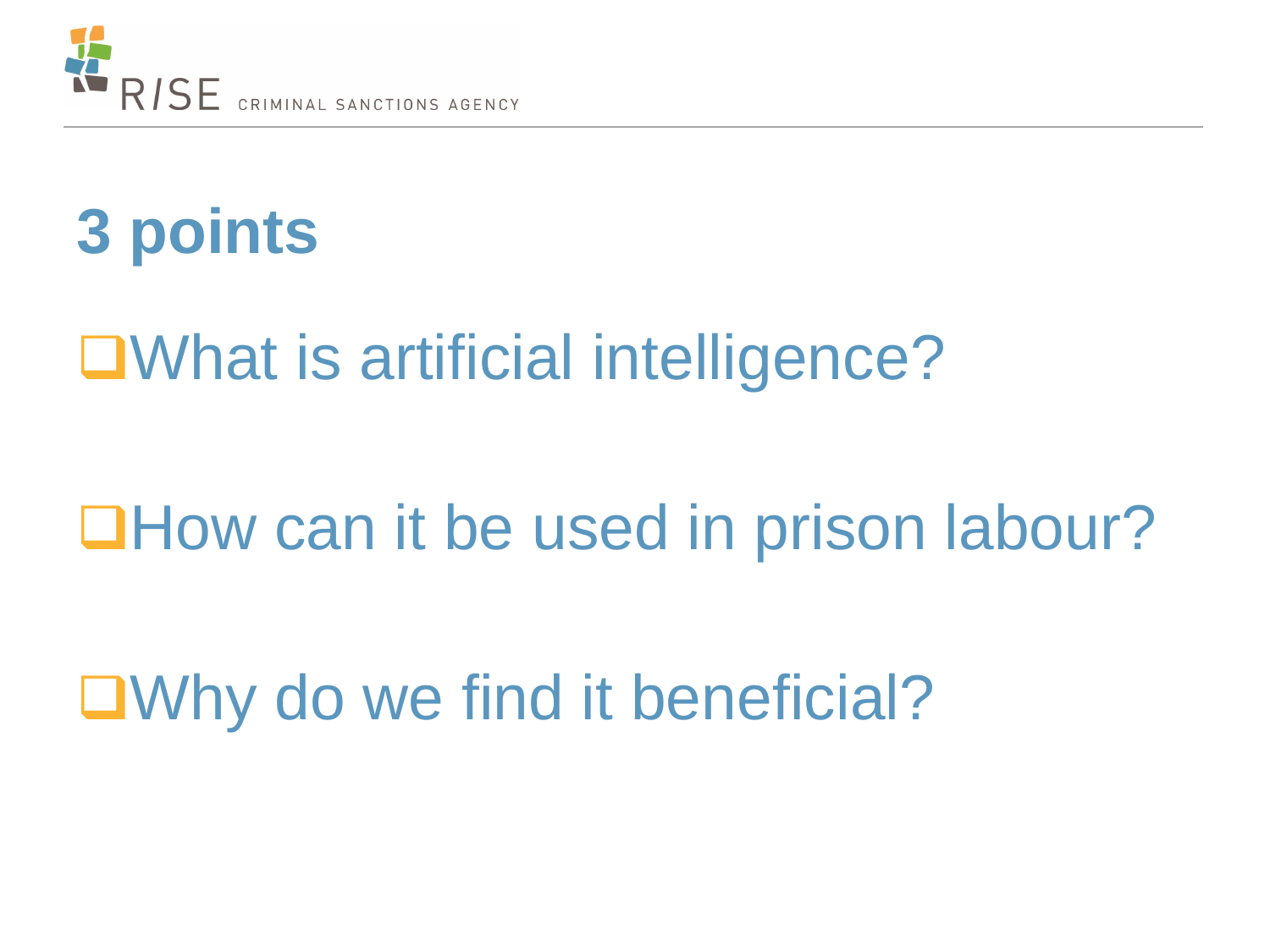

# **3 points**

# ■What is artificial intelligence?

# **QHow can it be used in prison labour?**

■Why do we find it beneficial?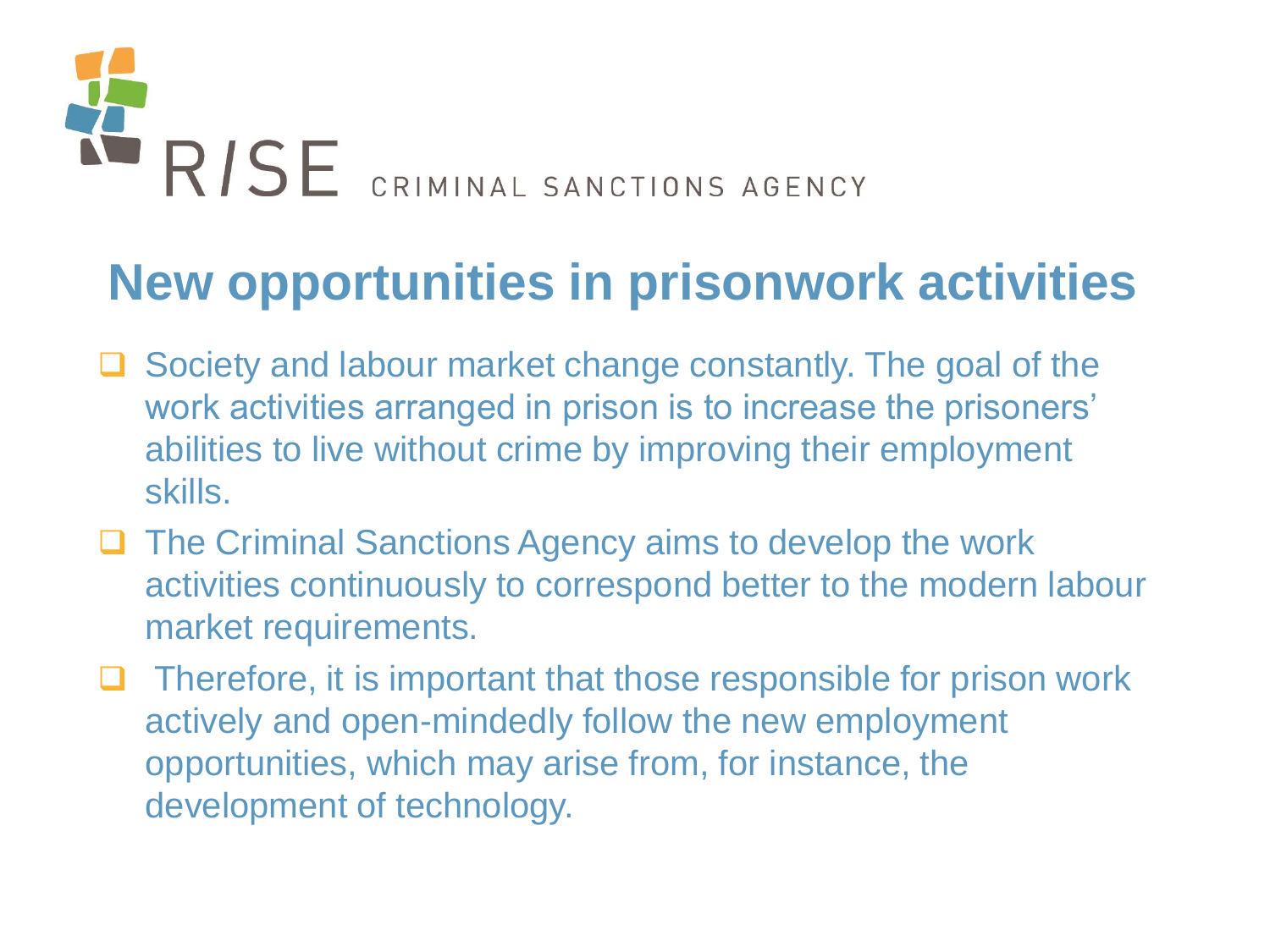

## **New opportunities in prisonwork activities**

- Society and labour market change constantly. The goal of the work activities arranged in prison is to increase the prisoners' abilities to live without crime by improving their employment skills.
- **□** The Criminal Sanctions Agency aims to develop the work activities continuously to correspond better to the modern labour market requirements.
- $\Box$  Therefore, it is important that those responsible for prison work actively and open-mindedly follow the new employment opportunities, which may arise from, for instance, the development of technology.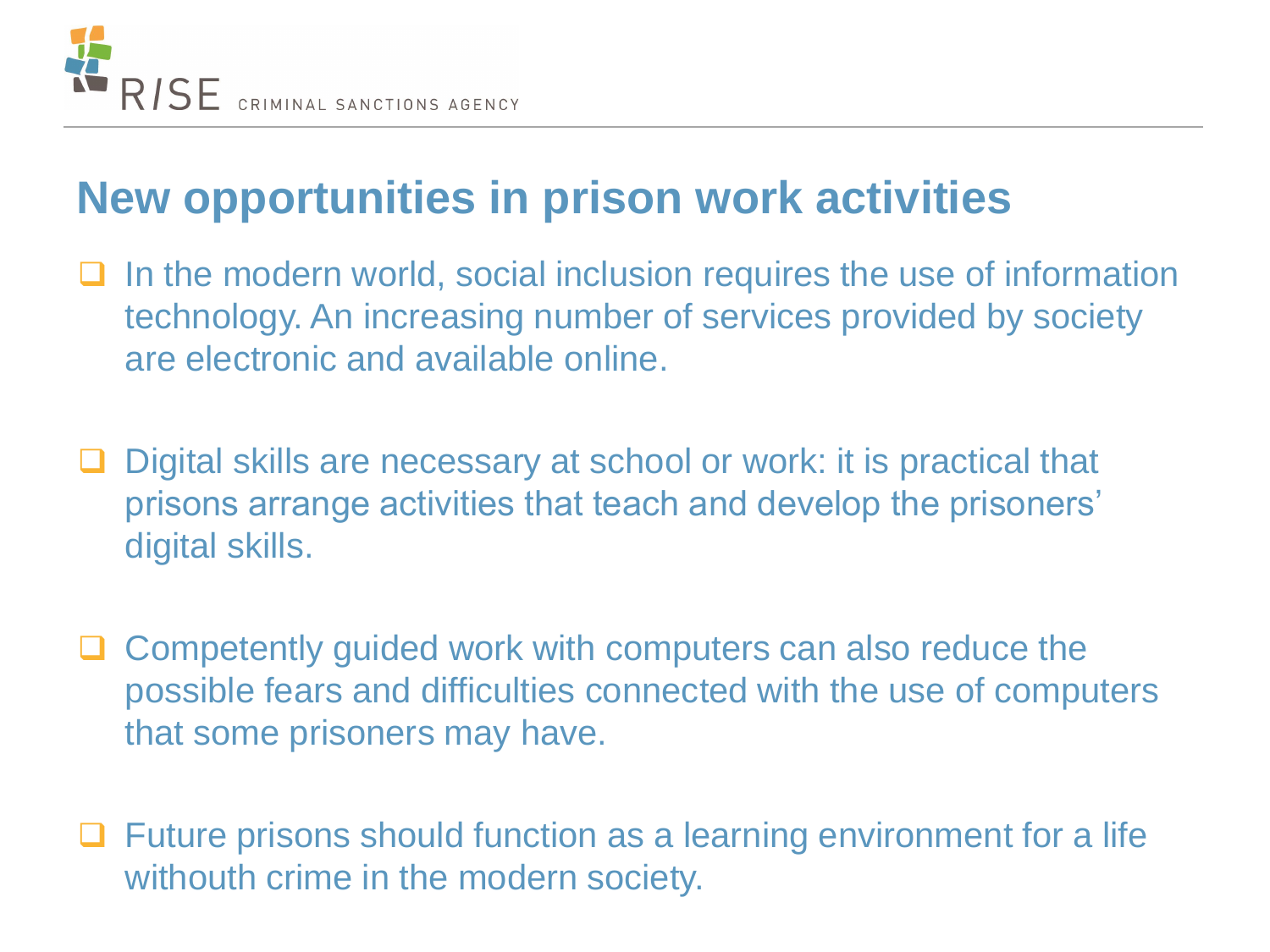

### **New opportunities in prison work activities**

- $\Box$  In the modern world, social inclusion requires the use of information technology. An increasing number of services provided by society are electronic and available online.
- □ Digital skills are necessary at school or work: it is practical that prisons arrange activities that teach and develop the prisoners' digital skills.
- $\Box$  Competently guided work with computers can also reduce the possible fears and difficulties connected with the use of computers that some prisoners may have.
- □ Future prisons should function as a learning environment for a life withouth crime in the modern society.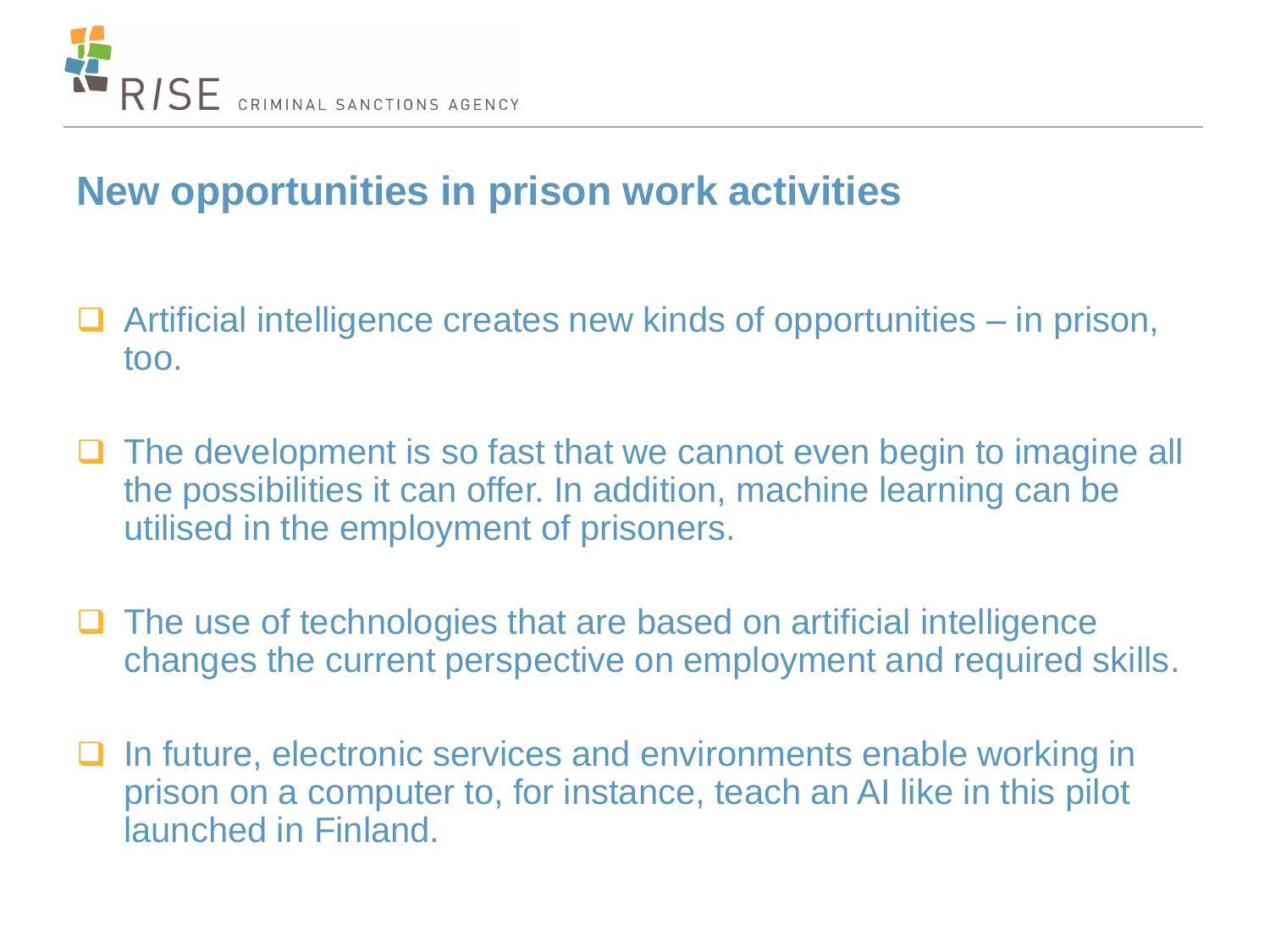

#### **New opportunities in prison work activities**

- $\Box$  Artificial intelligence creates new kinds of opportunities in prison, too.
- The development is so fast that we cannot even begin to imagine all the possibilities it can offer. In addition, machine learning can be utilised in the employment of prisoners.
- $\Box$  The use of technologies that are based on artificial intelligence changes the current perspective on employment and required skills.
- $\Box$  In future, electronic services and environments enable working in prison on a computer to, for instance, teach an AI like in this pilot launched in Finland.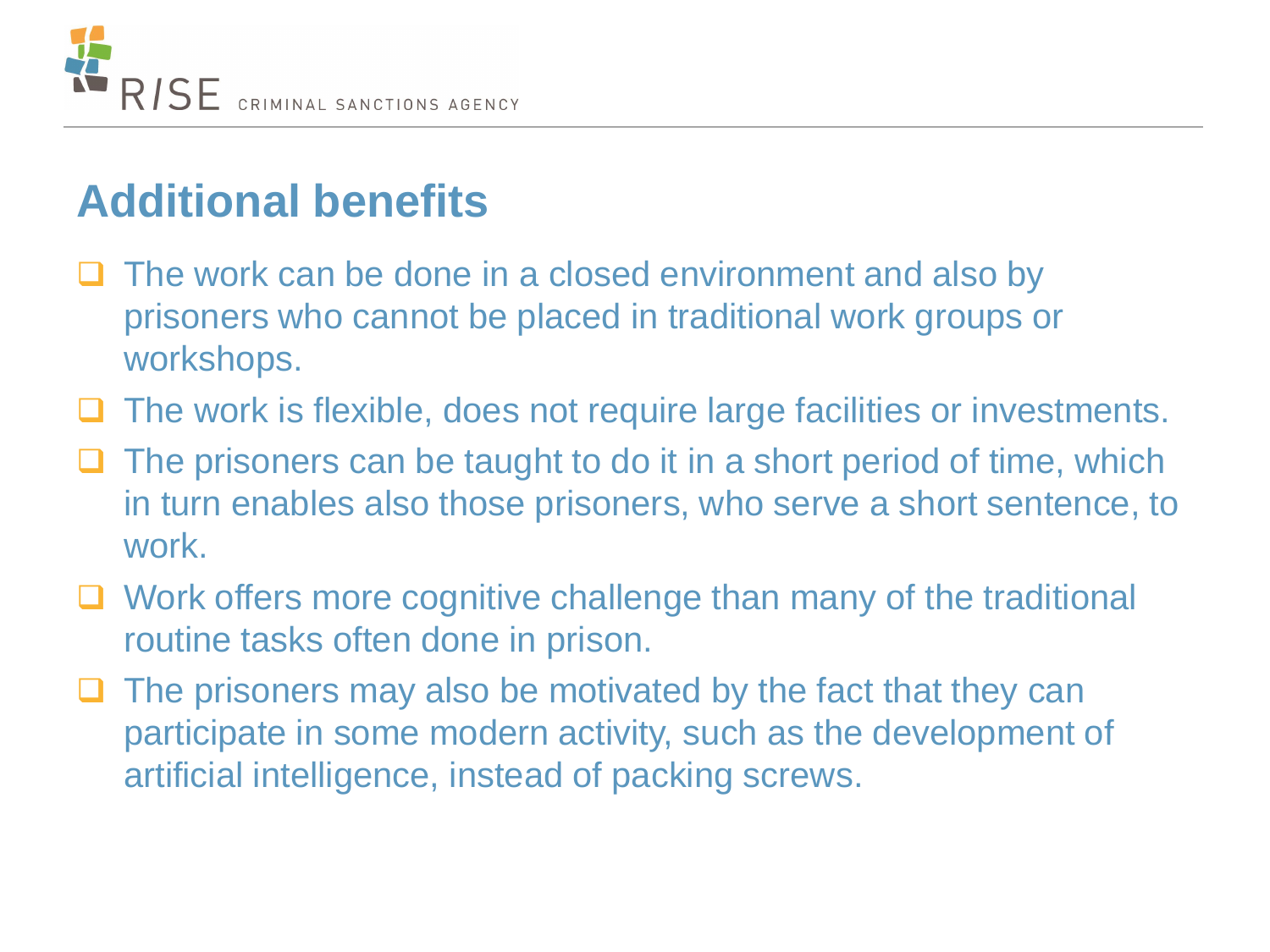

### **Additional benefits**

- $\Box$  The work can be done in a closed environment and also by prisoners who cannot be placed in traditional work groups or workshops.
- The work is flexible, does not require large facilities or investments.
- $\Box$  The prisoners can be taught to do it in a short period of time, which in turn enables also those prisoners, who serve a short sentence, to work.
- □ Work offers more cognitive challenge than many of the traditional routine tasks often done in prison.
- The prisoners may also be motivated by the fact that they can participate in some modern activity, such as the development of artificial intelligence, instead of packing screws.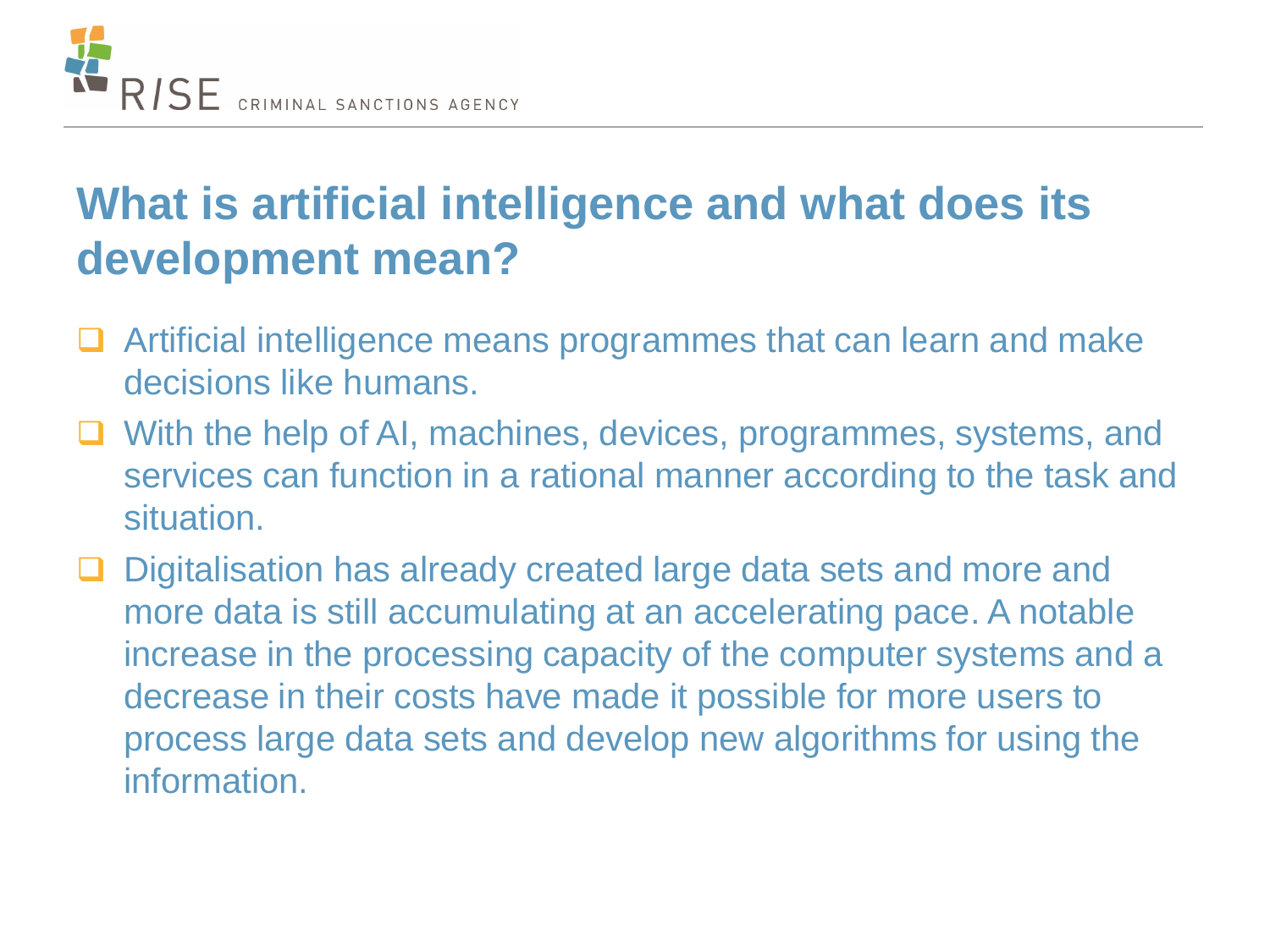

## **What is artificial intelligence and what does its development mean?**

- **□** Artificial intelligence means programmes that can learn and make decisions like humans.
- With the help of AI, machines, devices, programmes, systems, and services can function in a rational manner according to the task and situation.
- Digitalisation has already created large data sets and more and more data is still accumulating at an accelerating pace. A notable increase in the processing capacity of the computer systems and a decrease in their costs have made it possible for more users to process large data sets and develop new algorithms for using the information.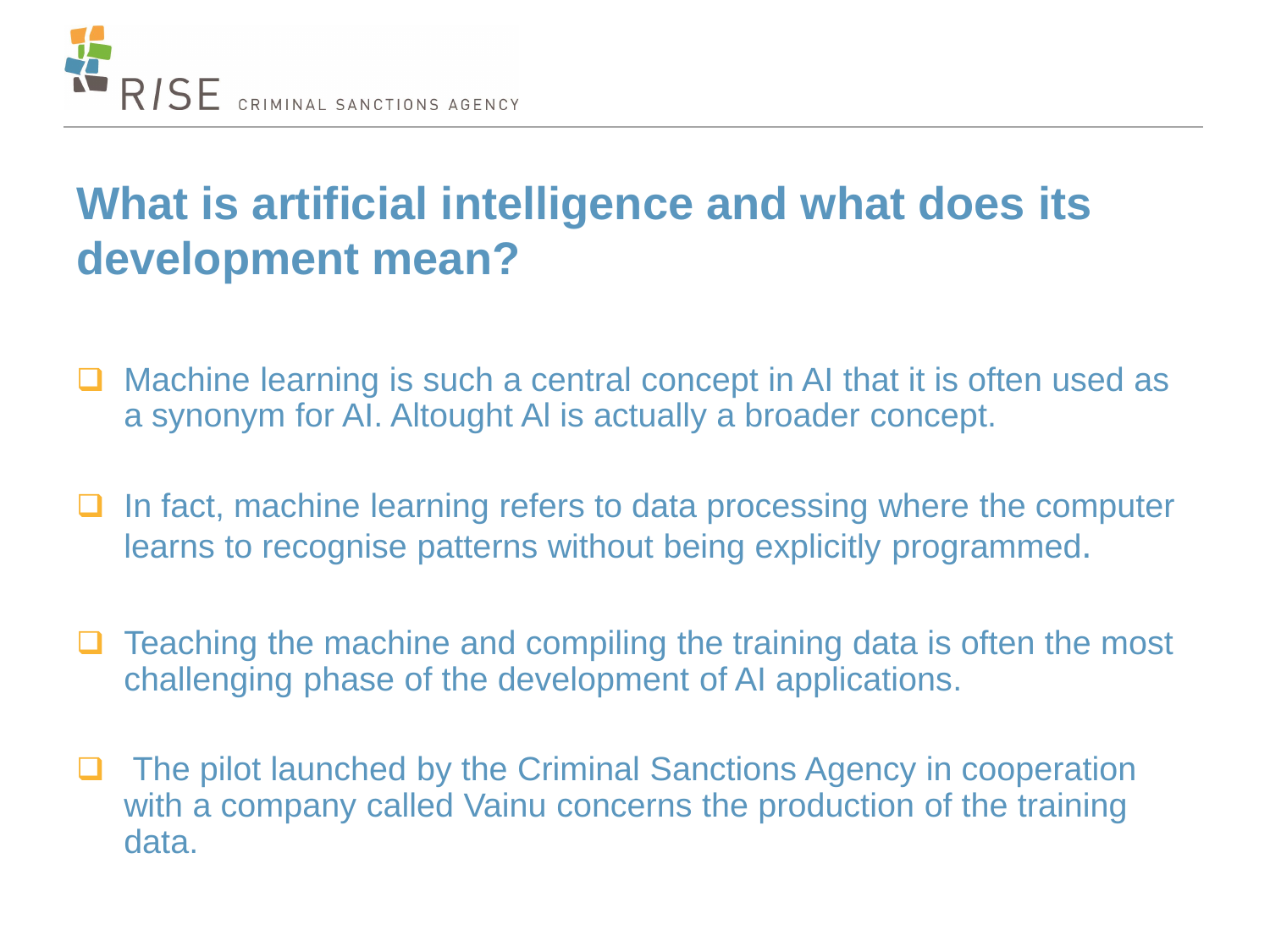

## **What is artificial intelligence and what does its development mean?**

- Machine learning is such a central concept in AI that it is often used as a synonym for AI. Altought Al is actually a broader concept.
- $\Box$  In fact, machine learning refers to data processing where the computer learns to recognise patterns without being explicitly programmed.
- $\Box$  Teaching the machine and compiling the training data is often the most challenging phase of the development of AI applications.
- **□** The pilot launched by the Criminal Sanctions Agency in cooperation with a company called Vainu concerns the production of the training data.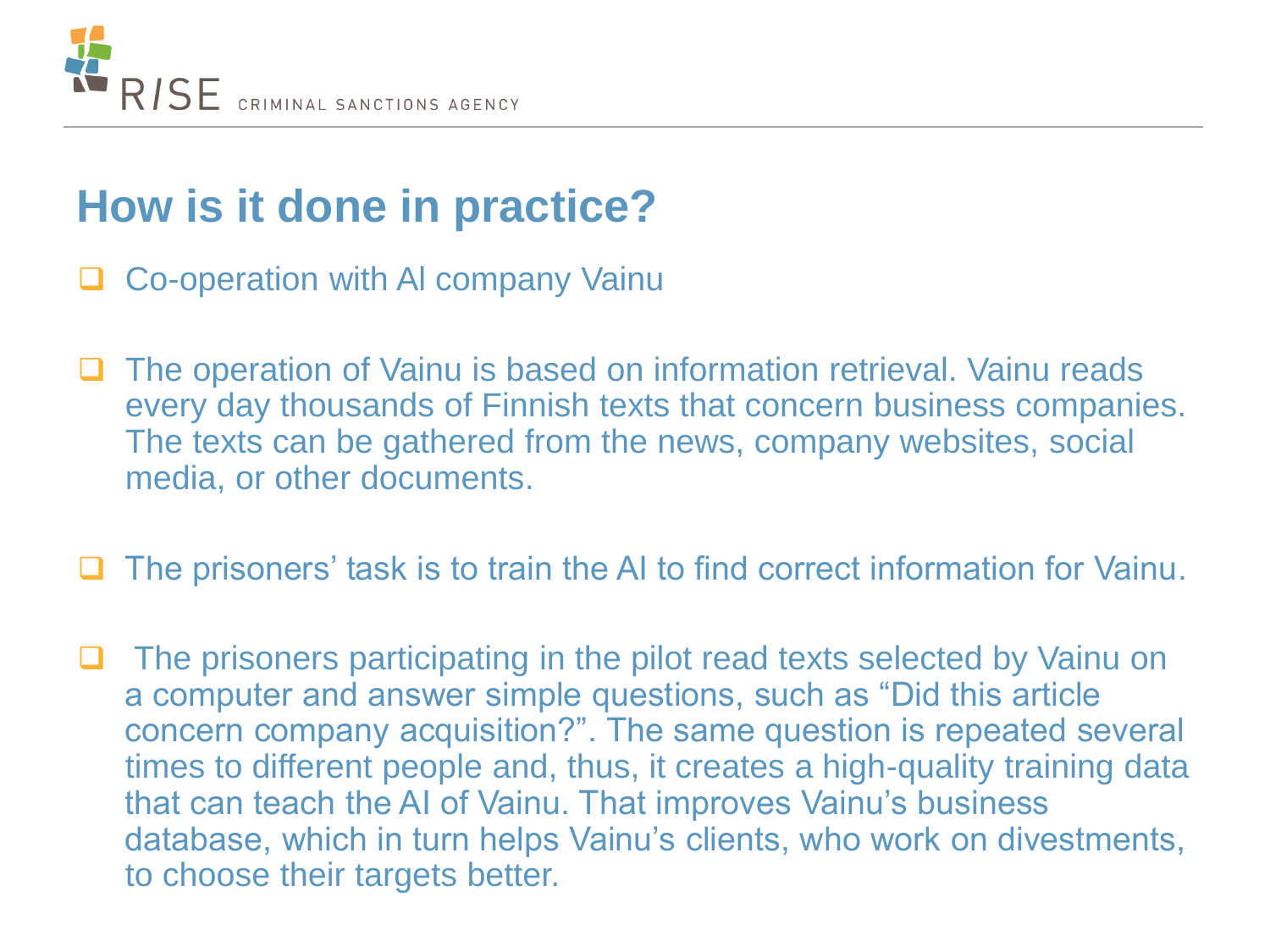

### **How is it done in practice?**

- Co-operation with Al company Vainu
- The operation of Vainu is based on information retrieval. Vainu reads every day thousands of Finnish texts that concern business companies. The texts can be gathered from the news, company websites, social media, or other documents.
- The prisoners' task is to train the AI to find correct information for Vainu.
- The prisoners participating in the pilot read texts selected by Vainu on a computer and answer simple questions, such as "Did this article concern company acquisition?". The same question is repeated several times to different people and, thus, it creates a high-quality training data that can teach the AI of Vainu. That improves Vainu's business database, which in turn helps Vainu's clients, who work on divestments, to choose their targets better.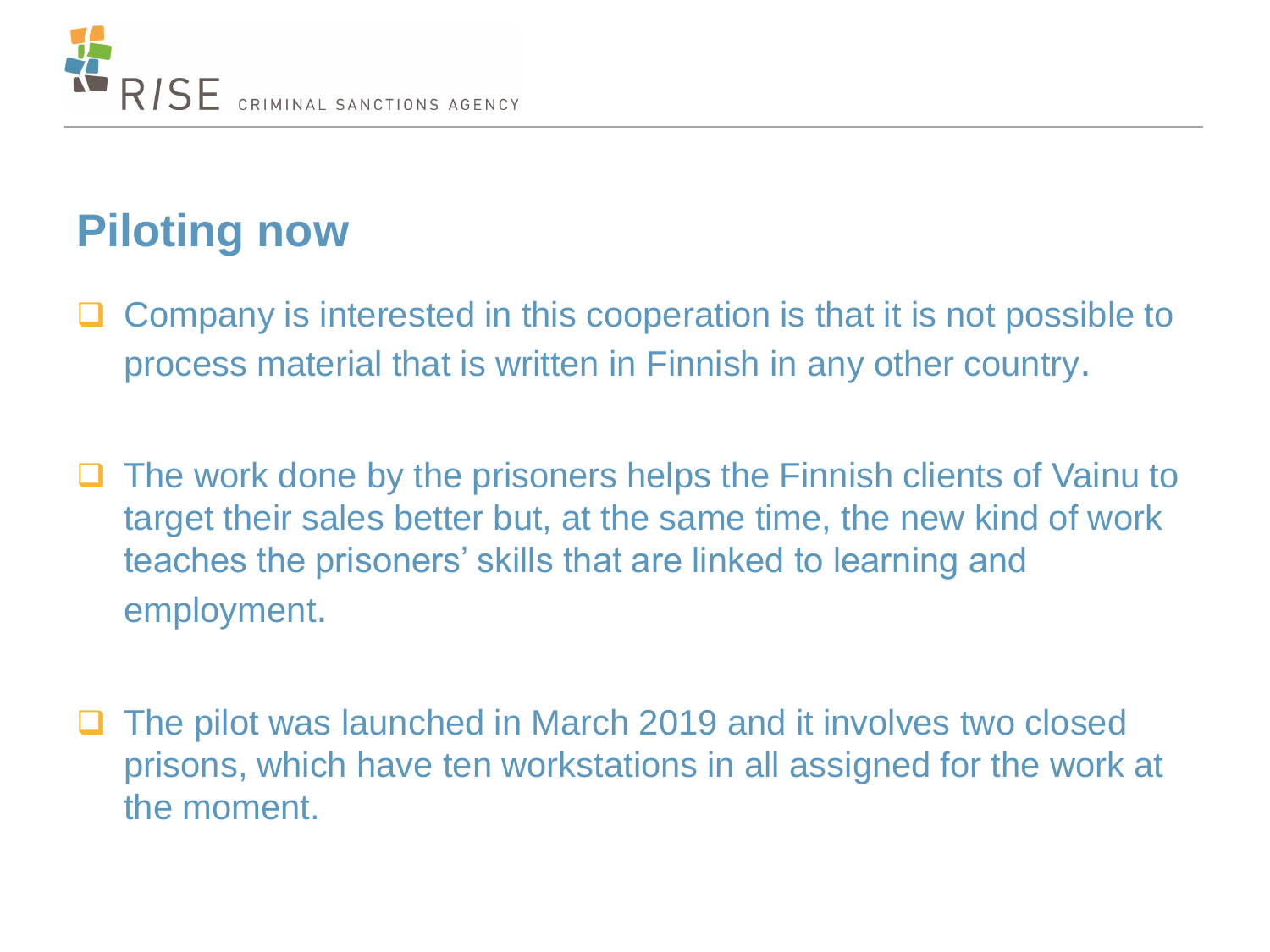

## **Piloting now**

- Company is interested in this cooperation is that it is not possible to process material that is written in Finnish in any other country.
- The work done by the prisoners helps the Finnish clients of Vainu to target their sales better but, at the same time, the new kind of work teaches the prisoners' skills that are linked to learning and employment.
- The pilot was launched in March 2019 and it involves two closed prisons, which have ten workstations in all assigned for the work at the moment.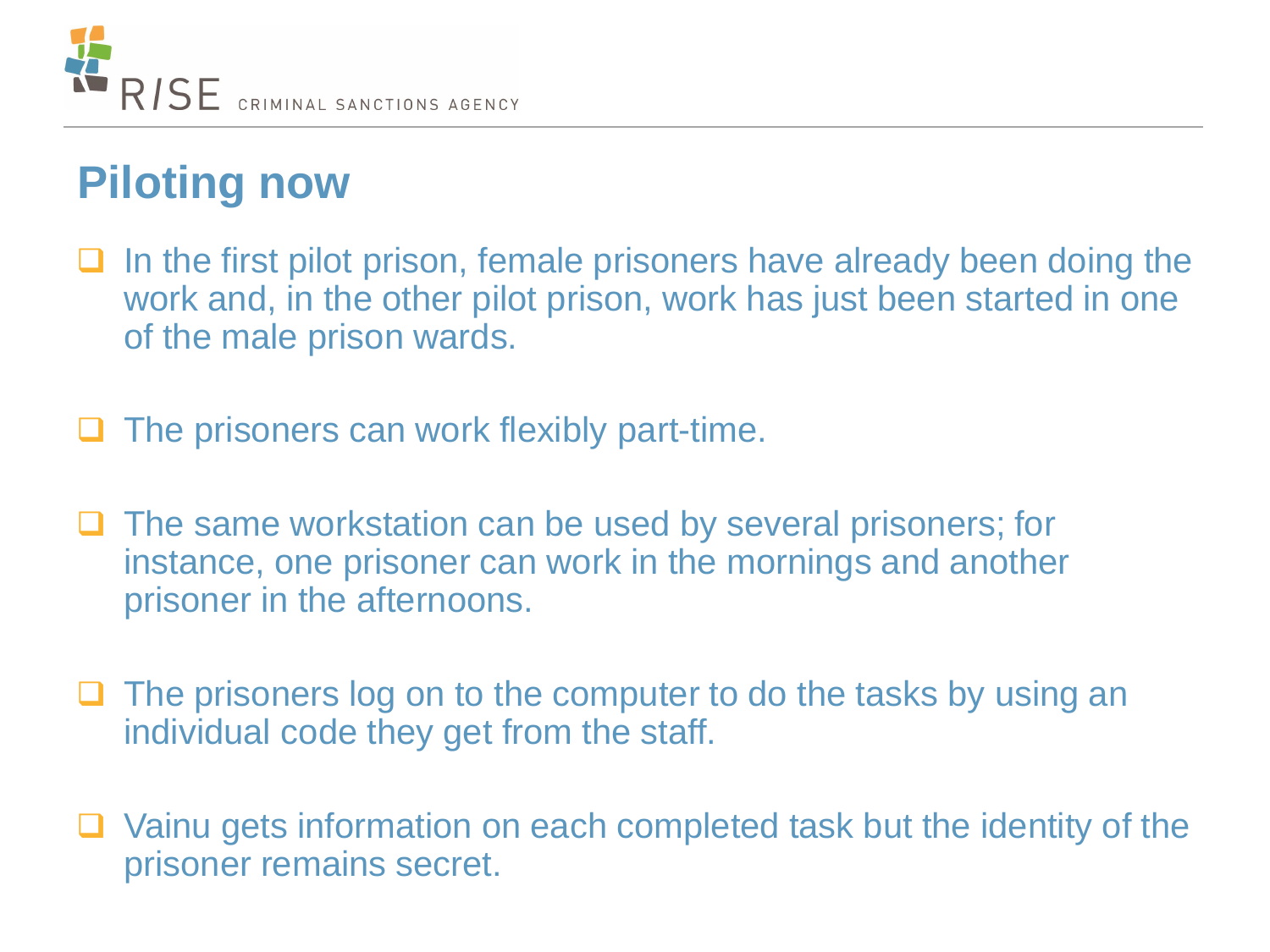

### **Piloting now**

- In the first pilot prison, female prisoners have already been doing the work and, in the other pilot prison, work has just been started in one of the male prison wards.
- The prisoners can work flexibly part-time.
- $\Box$  The same workstation can be used by several prisoners; for instance, one prisoner can work in the mornings and another prisoner in the afternoons.
- $\Box$  The prisoners log on to the computer to do the tasks by using an individual code they get from the staff.
- Vainu gets information on each completed task but the identity of the prisoner remains secret.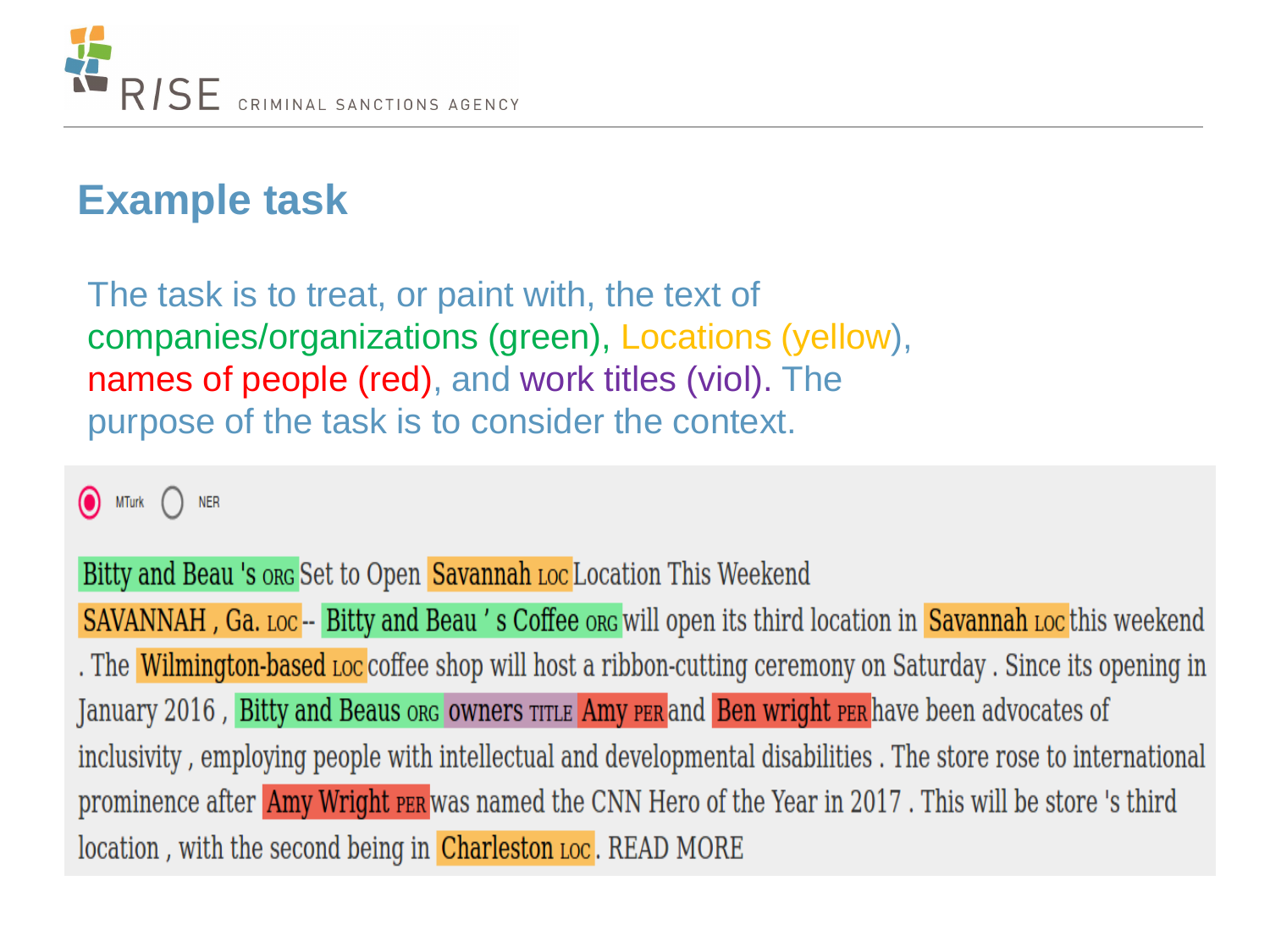

#### **Example task**

The task is to treat, or paint with, the text of companies/organizations (green), Locations (yellow), names of people (red), and work titles (viol). The purpose of the task is to consider the context.

**MTurk NER** 

Bitty and Beau 's org Set to Open Savannah Loc Location This Weekend

SAVANNAH, Ga. Loc -- Bitty and Beau's Coffee org will open its third location in Savannah Loc this weekend . The Wilmington-based Loc coffee shop will host a ribbon-cutting ceremony on Saturday. Since its opening in January 2016, Bitty and Beaus org owners TITLE Amy PER and Ben wright PER have been advocates of inclusivity, employing people with intellectual and developmental disabilities. The store rose to international prominence after **Amy Wright PER** was named the CNN Hero of the Year in 2017. This will be store 's third location, with the second being in Charleston Loc. READ MORE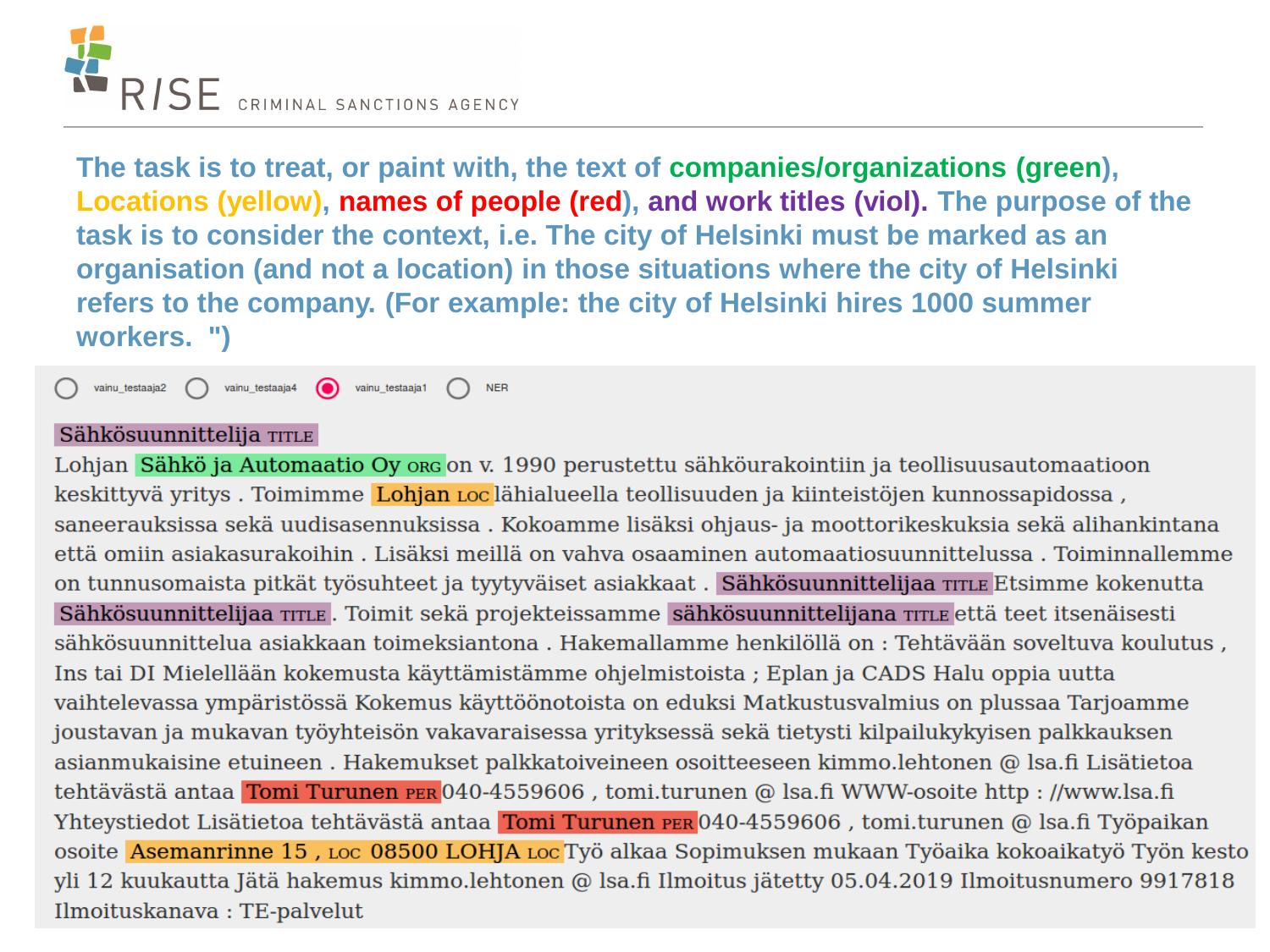

**The task is to treat, or paint with, the text of companies/organizations (green), Locations (yellow), names of people (red), and work titles (viol). The purpose of the task is to consider the context, i.e. The city of Helsinki must be marked as an organisation (and not a location) in those situations where the city of Helsinki refers to the company. (For example: the city of Helsinki hires 1000 summer workers. ")**

⋒ vainu testaaja2 vainu testaaja4 vainu\_testaaja1 **NER** 

#### Sähkösuunnittelija TITLE

Lohjan Sähkö ja Automaatio Oy org on v. 1990 perustettu sähköurakointiin ja teollisuusautomaatioon keskittyvä yritys. Toimimme Lohjan Loc lähialueella teollisuuden ja kiinteistöjen kunnossapidossa, saneerauksissa sekä uudisasennuksissa . Kokoamme lisäksi ohjaus- ja moottorikeskuksia sekä alihankintana että omiin asiakasurakoihin. Lisäksi meillä on vahva osaaminen automaatiosuunnittelussa. Toiminnallemme on tunnusomaista pitkät työsuhteet ja tyytyväiset asiakkaat. Sähkösuunnittelijaa TITLE Etsimme kokenutta Sähkösuunnittelijaa TITLE. Toimit sekä projekteissamme sähkösuunnittelijana TITLE että teet itsenäisesti sähkösuunnittelua asiakkaan toimeksiantona. Hakemallamme henkilöllä on : Tehtävään soveltuva koulutus, Ins tai DI Mielellään kokemusta käyttämistämme ohjelmistoista ; Eplan ja CADS Halu oppia uutta vaihtelevassa ympäristössä Kokemus käyttöönotoista on eduksi Matkustusvalmius on plussaa Tarjoamme joustavan ja mukavan työyhteisön vakavaraisessa yrityksessä sekä tietysti kilpailukykyisen palkkauksen asianmukaisine etuineen. Hakemukset palkkatoiveineen osoitteeseen kimmo.lehtonen @ lsa.fi Lisätietoa tehtävästä antaa Tomi Turunen PER 040-4559606, tomi.turunen @ lsa.fi WWW-osoite http://www.lsa.fi Yhteystiedot Lisätietoa tehtävästä antaa Tomi Turunen PER 040-4559606, tomi.turunen @ Isa.fi Työpaikan osoite Asemanrinne 15, Loc 08500 LOHJA Loc Työ alkaa Sopimuksen mukaan Työaika kokoaikatyö Työn kesto yli 12 kuukautta Jätä hakemus kimmo.lehtonen @ lsa.fi Ilmoitus jätetty 05.04.2019 Ilmoitusnumero 9917818 Ilmoituskanava: TE-palvelut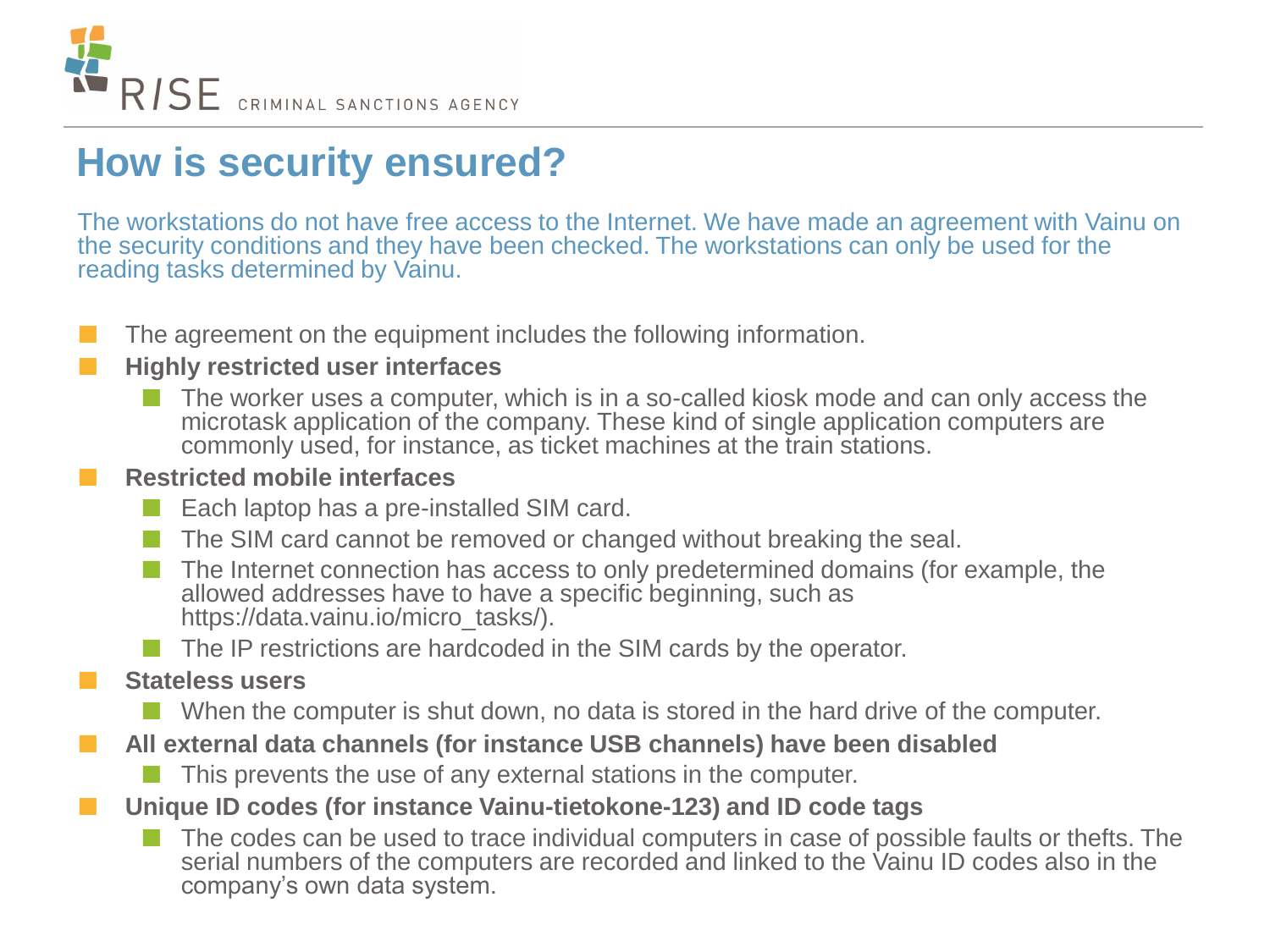

#### **How is security ensured?**

The workstations do not have free access to the Internet. We have made an agreement with Vainu on the security conditions and they have been checked. The workstations can only be used for the reading tasks determined by Vainu.

The agreement on the equipment includes the following information.

#### **Highly restricted user interfaces**

 $\blacksquare$  The worker uses a computer, which is in a so-called kiosk mode and can only access the microtask application of the company. These kind of single application computers are commonly used, for instance, as ticket machines at the train stations.

#### **Restricted mobile interfaces**

- Each laptop has a pre-installed SIM card.
- The SIM card cannot be removed or changed without breaking the seal.
- The Internet connection has access to only predetermined domains (for example, the allowed addresses have to have a specific beginning, such as https://data.vainu.io/micro\_tasks/).
- $\blacksquare$  The IP restrictions are hardcoded in the SIM cards by the operator.

#### **Stateless users**

- When the computer is shut down, no data is stored in the hard drive of the computer.
- **All external data channels (for instance USB channels) have been disabled**
	- This prevents the use of any external stations in the computer.
- **Unique ID codes (for instance Vainu-tietokone-123) and ID code tags**
	- The codes can be used to trace individual computers in case of possible faults or thefts. The serial numbers of the computers are recorded and linked to the Vainu ID codes also in the company's own data system.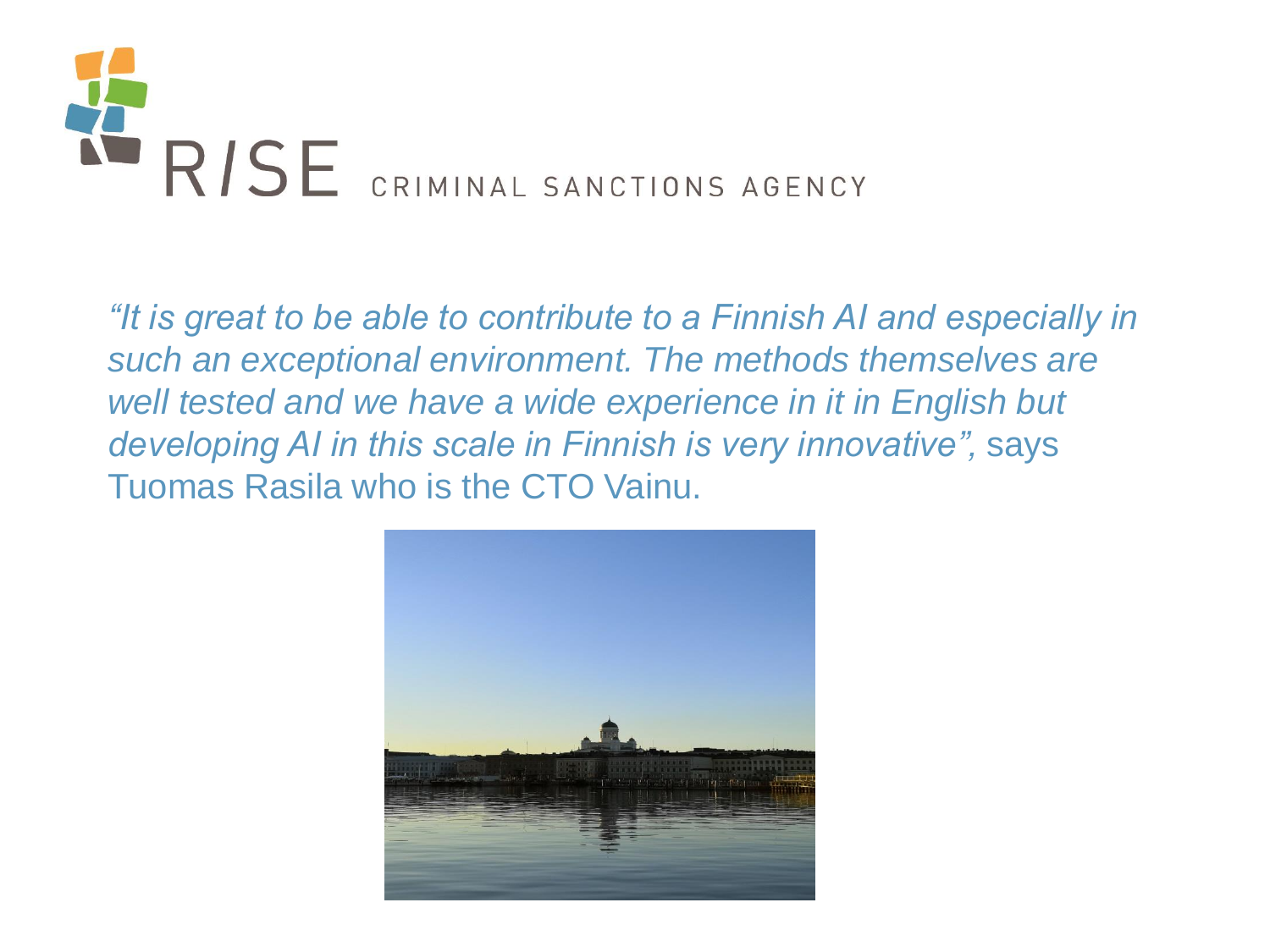

*"It is great to be able to contribute to a Finnish AI and especially in such an exceptional environment. The methods themselves are well tested and we have a wide experience in it in English but developing AI in this scale in Finnish is very innovative",* says Tuomas Rasila who is the CTO Vainu.